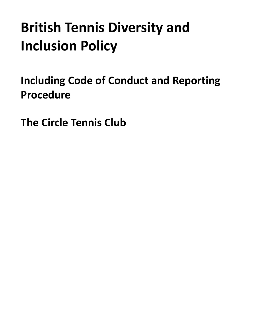# **British Tennis Diversity and Inclusion Policy**

<span id="page-0-0"></span>**Including Code of Conduct and Reporting Procedure**

**The Circle Tennis Club**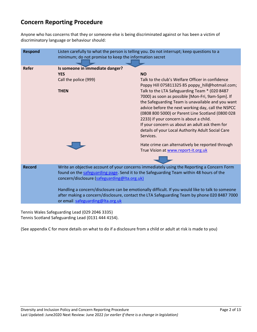# **Concern Reporting Procedure**

Anyone who has concerns that they or someone else is being discriminated against or has been a victim of discriminatory language or behaviour should:

| <b>Respond</b> | Listen carefully to what the person is telling you. Do not interrupt; keep questions to a<br>minimum; do not promise to keep the information secret                                                                                   |                                                                                                                                                                                                                                                                                                                                                                                                                                  |
|----------------|---------------------------------------------------------------------------------------------------------------------------------------------------------------------------------------------------------------------------------------|----------------------------------------------------------------------------------------------------------------------------------------------------------------------------------------------------------------------------------------------------------------------------------------------------------------------------------------------------------------------------------------------------------------------------------|
| <b>Refer</b>   | Is someone in immediate danger?                                                                                                                                                                                                       |                                                                                                                                                                                                                                                                                                                                                                                                                                  |
|                | <b>YES</b>                                                                                                                                                                                                                            | <b>NO</b>                                                                                                                                                                                                                                                                                                                                                                                                                        |
|                | Call the police (999)                                                                                                                                                                                                                 | Talk to the club's Welfare Officer in confidence<br>Poppy Hill 075811325 85 poppy_hill@hotmail.com;                                                                                                                                                                                                                                                                                                                              |
|                | <b>THEN</b>                                                                                                                                                                                                                           | Talk to the LTA Safeguarding Team * (020 8487<br>7000) as soon as possible [Mon-Fri, 9am-5pm]. If<br>the Safeguarding Team is unavailable and you want<br>advice before the next working day, call the NSPCC<br>(0808 800 5000) or Parent Line Scotland (0800 028<br>2233) if your concern is about a child.<br>If your concern us about an adult ask them for<br>details of your Local Authority Adult Social Care<br>Services. |
|                |                                                                                                                                                                                                                                       | Hate crime can alternatively be reported through<br>True Vision at www.report-it.org.uk                                                                                                                                                                                                                                                                                                                                          |
|                |                                                                                                                                                                                                                                       |                                                                                                                                                                                                                                                                                                                                                                                                                                  |
| <b>Record</b>  | Write an objective account of your concerns immediately using the Reporting a Concern Form<br>found on the safeguarding page. Send it to the Safeguarding Team within 48 hours of the<br>concern/disclosure (safeguarding@Ita.org.uk) |                                                                                                                                                                                                                                                                                                                                                                                                                                  |
|                | Handling a concern/disclosure can be emotionally difficult. If you would like to talk to someone<br>after making a concern/disclosure, contact the LTA Safeguarding Team by phone 020 8487 7000<br>or email safeguarding@Ita.org.uk   |                                                                                                                                                                                                                                                                                                                                                                                                                                  |

Tennis Wales Safeguarding Lead (029 2046 3335) Tennis Scotland Safeguarding Lead (0131 444 4154).

(See appendix C for more details on what to do if a disclosure from a child or adult at risk is made to you)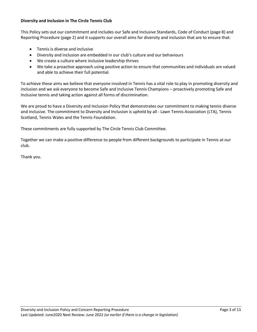## **Diversity and Inclusion in The Circle Tennis Club**

This Policy sets out our commitment and includes our Safe and Inclusive Standards, Code of Conduct (page 8) and Reporting Procedure (page 2) and it supports our overall aims for diversity and inclusion that are to ensure that:

- Tennis is diverse and inclusive
- Diversity and inclusion are embedded in our club's culture and our behaviours
- We create a culture where inclusive leadership thrives
- We take a proactive approach using positive action to ensure that communities and individuals are valued and able to achieve their full potential.

To achieve these aims we believe that everyone involved in Tennis has a vital role to play in promoting diversity and inclusion and we ask everyone to become Safe and Inclusive Tennis Champions – proactively promoting Safe and Inclusive tennis and taking action against all forms of discrimination.

We are proud to have a Diversity and Inclusion Policy that demonstrates our commitment to making tennis diverse and inclusive. The commitment to Diversity and Inclusion is upheld by all - Lawn Tennis Association (LTA), Tennis Scotland, Tennis Wales and the Tennis Foundation.

These commitments are fully supported by The Circle Tennis Club Committee.

Together we can make a positive difference to people from different backgrounds to participate in Tennis at our club.

Thank you.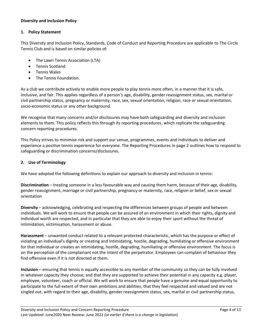## **Diversity and Inclusion Policy**

## **1. Policy Statement**

This Diversity and Inclusion Policy, Standards, Code of Conduct and Reporting Procedure are applicable to The Circle Tennis Club and is based on similar policies of:

- The Lawn Tennis Association (LTA)
- Tennis Scotland
- Tennis Wales
- The Tennis Foundation.

As a club we contribute actively to enable more people to play tennis more often, in a manner that it is safe, inclusive, and fair. This applies regardless of a person's age, disability, gender reassignment status, sex, marital or civil partnership status, pregnancy or maternity, race, sex, sexual orientation, religion, race or sexual orientation, socio-economic status or any other background.

We recognise that many concerns and/or disclosures may have both safeguarding and diversity and inclusion elements to them. This policy reflects this through its reporting procedures, which replicate the safeguarding concern reporting procedures.

This Policy strives to minimise risk and support our venue, programmes, events and individuals to deliver and experience a positive tennis experience for everyone. The Reporting Procedures in page 2 outlines how to respond to safeguarding or discrimination concerns/disclosures.

## **2. Use of Terminology**

We have adopted the following definitions to explain our approach to diversity and inclusion in tennis:

**Discrimination** – treating someone in a less favourable way and causing them harm, because of their age, disability, gender reassignment, marriage or civil partnership, pregnancy or maternity, race, religion or belief, sex or sexual orientation

**Diversity** – acknowledging, celebrating and respecting the differences between groups of people and between individuals. We will work to ensure that people can be assured of an environment in which their rights, dignity and individual worth are respected, and in particular that they are able to enjoy their sport without the threat of intimidation, victimisation, harassment or abuse.

**Harassment** – unwanted conduct related to a relevant protected characteristic, which has the purpose or effect of violating an individual's dignity or creating and intimidating, hostile, degrading, humiliating or offensive environment for that individual or creates an intimidating, hostile, degrading, humiliating or offensive environment. The focus is on the perception of the complainant not the intent of the perpetrator. Employees can complain of behaviour they find offensive even if it is not directed at them.

**Inclusion** – ensuring that tennis is equally accessible to any member of the community so they can be fully involved in whatever capacity they choose; and that they are supported to achieve their potential in any capacity e.g. player, employee, volunteer, coach or official. We will work to ensure that people have a genuine and equal opportunity to participate to the full extent of their own ambitions and abilities, that they feel respected and valued and are not singled out, with regard to their age, disability, gender reassignment status, sex, marital or civil partnership status,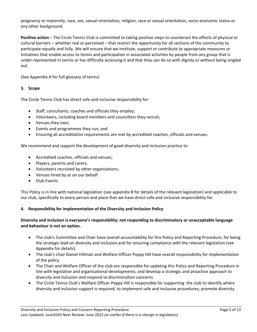pregnancy or maternity, race, sex, sexual orientation, religion, race or sexual orientation, socio-economic status or any other background.

**Positive action** – The Circle Tennis Club is committed to taking positive steps to counteract the effects of physical or cultural barriers – whether real or perceived – that restrict the opportunity for all sections of the community to participate equally and fully. We will ensure that we institute, support or contribute to appropriate measures or initiatives that enable access to tennis and participation in associated activities by people from any group that is under-represented in tennis or has difficulty accessing it and that they can do so with dignity or without being singled out.

(See Appendix A for full glossary of terms)

#### **3. Scope**

The Circle Tennis Club has direct safe and inclusive responsibility for:

- Staff, consultants, coaches and officials they employ;
- Volunteers, including board members and councillors they recruit;
- Venues they own;
- Events and programmes they run; and
- Ensuring all accreditation requirements are met by accredited coaches, officials and venues.

We recommend and support the development of good diversity and inclusion practice to:

- Accredited coaches, officials and venues;
- Players, parents and carers;
- Volunteers recruited by other organisations;
- Venues hired by or on our behalf
- Club Events.

This Policy is in line with national legislation (see appendix B for details of the relevant legislation) and applicable to our club, specifically to every person and place that we have direct safe and inclusive responsibility for.

#### **4. Responsibility for implementation of the Diversity and Inclusion Policy**

## **Diversity and inclusion is everyone's responsibility: not responding to discriminatory or unacceptable language and behaviour is not an option.**

- The club's Committee and Chair have overall accountability for this Policy and Reporting Procedure, for being the strategic lead on diversity and inclusion and for ensuring compliance with the relevant legislation (see Appendix for details).
- The club's chair Daniel Hillman and Welfare Officer Poppy Hill have overall responsibility for implementation of the policy.
- The Chair and Welfare Officer of the club are responsible for updating this Policy and Reporting Procedure in line with legislative and organisational developments; and develop a strategic and proactive approach to diversity and inclusion and respond to discrimination concerns.
- The Circle Tennis Club's Welfare Officer Poppy Hill is responsible for supporting the club to identify where diversity and inclusion support is required; to implement safe and inclusive procedures; promote diversity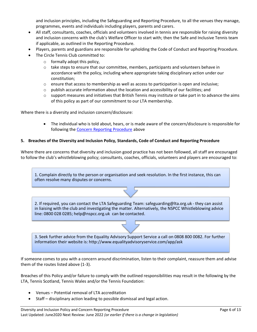and inclusion principles, including the Safeguarding and Reporting Procedure, to all the venues they manage, programmes, events and individuals including players, parents and carers.

- All staff, consultants, coaches, officials and volunteers involved in tennis are responsible for raising diversity and inclusion concerns with the club's Welfare Officer to start with; then the Safe and Inclusive Tennis team if applicable, as outlined in the Reporting Procedure.
- Players, parents and guardians are responsible for upholding the Code of Conduct and Reporting Procedure.
- The Circle Tennis Club committed to:
	- $\circ$  formally adopt this policy,
	- $\circ$  take steps to ensure that our committee, members, participants and volunteers behave in accordance with the policy, including where appropriate taking disciplinary action under our constitution;
	- $\circ$  ensure that access to membership as well as access to participation is open and inclusive;
	- $\circ$  publish accurate information about the location and accessibility of our facilities; and
	- $\circ$  support measures and initiatives that British Tennis may institute or take part in to advance the aims of this policy as part of our commitment to our LTA membership.

Where there is a diversity and inclusion concern/disclosure:

• The individual who is told about, hears, or is made aware of the concern/disclosure is responsible for following the [Concern Reporting Procedure](#page-0-0) above

#### **5. Breaches of the Diversity and Inclusion Policy, Standards, Code of Conduct and Reporting Procedure**

Where there are concerns that diversity and inclusion good practice has not been followed, all staff are encouraged to follow the club's whistleblowing policy; consultants, coaches, officials, volunteers and players are encouraged to:

1. Complain directly to the person or organisation and seek resolution. In the first instance, this can often resolve many disputes or concerns.

2. If required, you can contact the LTA Safeguarding Team: safeguarding@lta.org.uk - they can assist in liaising with the club and investigating the matter. Alternatively, the NSPCC Whistleblowing advice line: 0800 028 0285; help@nspcc.org.uk can be contacted.

3. Seek further advice from the Equality Advisory Support Service a call on 0808 800 0082. For further information their website is: http://www.equalityadvisoryservice.com/app/ask

If someone comes to you with a concern around discrimination, listen to their complaint, reassure them and advise them of the routes listed above (1-3).

Breaches of this Policy and/or failure to comply with the outlined responsibilities may result in the following by the LTA, Tennis Scotland, Tennis Wales and/or the Tennis Foundation:

- Venues Potential removal of LTA accreditation
- Staff disciplinary action leading to possible dismissal and legal action.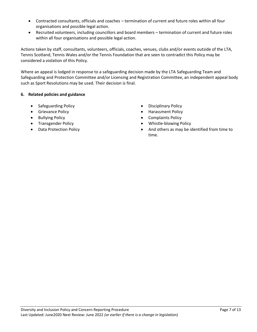- Contracted consultants, officials and coaches termination of current and future roles within all four organisations and possible legal action.
- Recruited volunteers, including councillors and board members termination of current and future roles within all four organisations and possible legal action.

Actions taken by staff, consultants, volunteers, officials, coaches, venues, clubs and/or events outside of the LTA, Tennis Scotland, Tennis Wales and/or the Tennis Foundation that are seen to contradict this Policy may be considered a violation of this Policy.

Where an appeal is lodged in response to a safeguarding decision made by the LTA Safeguarding Team and Safeguarding and Protection Committee and/or Licensing and Registration Committee, an independent appeal body such as Sport Resolutions may be used. Their decision is final.

# **6. Related policies and guidance**

- Safeguarding Policy  **Contains a Struth Policy Contains Policy** Disciplinary Policy
- 
- 
- 
- 
- 
- Grievance Policy  **Contains a little example 2** Harassment Policy Harassment Policy
- Bullying Policy Complaints Policy
- Transgender Policy  **Whistle-blowing Policy**
- Data Protection Policy  **And others as may be identified from time to** time.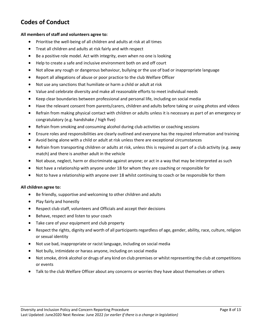# **Codes of Conduct**

#### **All members of staff and volunteers agree to:**

- Prioritise the well-being of all children and adults at risk at all times
- Treat all children and adults at risk fairly and with respect
- Be a positive role model. Act with integrity, even when no one is looking
- Help to create a safe and inclusive environment both on and off court
- Not allow any rough or dangerous behaviour, bullying or the use of bad or inappropriate language
- Report all allegations of abuse or poor practice to the club Welfare Officer
- Not use any sanctions that humiliate or harm a child or adult at risk
- Value and celebrate diversity and make all reasonable efforts to meet individual needs
- Keep clear boundaries between professional and personal life, including on social media
- Have the relevant consent from parents/carers, children and adults before taking or using photos and videos
- Refrain from making physical contact with children or adults unless it is necessary as part of an emergency or congratulatory (e.g. handshake / high five)
- Refrain from smoking and consuming alcohol during club activities or coaching sessions
- Ensure roles and responsibilities are clearly outlined and everyone has the required information and training
- Avoid being alone with a child or adult at risk unless there are exceptional circumstances
- Refrain from transporting children or adults at risk, unless this is required as part of a club activity (e.g. away match) and there is another adult in the vehicle
- Not abuse, neglect, harm or discriminate against anyone; or act in a way that may be interpreted as such
- Not have a relationship with anyone under 18 for whom they are coaching or responsible for
- Not to have a relationship with anyone over 18 whilst continuing to coach or be responsible for them

#### **All children agree to:**

- Be friendly, supportive and welcoming to other children and adults
- Play fairly and honestly
- Respect club staff, volunteers and Officials and accept their decisions
- Behave, respect and listen to your coach
- Take care of your equipment and club property
- Respect the rights, dignity and worth of all participants regardless of age, gender, ability, race, culture, religion or sexual identity
- Not use bad, inappropriate or racist language, including on social media
- Not bully, intimidate or harass anyone, including on social media
- Not smoke, drink alcohol or drugs of any kind on club premises or whilst representing the club at competitions or events
- Talk to the club Welfare Officer about any concerns or worries they have about themselves or others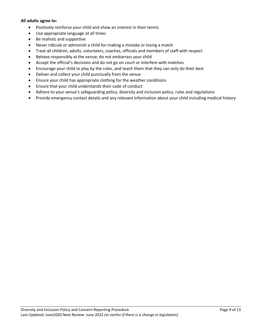#### **All adults agree to:**

- Positively reinforce your child and show an interest in their tennis
- Use appropriate language at all times
- Be realistic and supportive
- Never ridicule or admonish a child for making a mistake or losing a match
- Treat all children, adults, volunteers, coaches, officials and members of staff with respect
- Behave responsibly at the venue; do not embarrass your child
- Accept the official's decisions and do not go on court or interfere with matches
- Encourage your child to play by the rules, and teach them that they can only do their best
- Deliver and collect your child punctually from the venue
- Ensure your child has appropriate clothing for the weather conditions
- Ensure that your child understands their code of conduct
- Adhere to your venue's safeguarding policy, diversity and inclusion policy, rules and regulations
- Provide emergency contact details and any relevant information about your child including medical history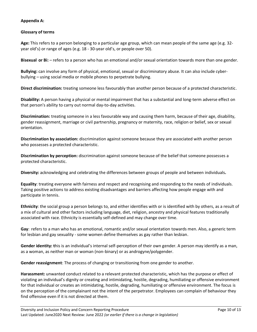# **Appendix A:**

## **Glossary of terms**

**Age:** This refers to a person belonging to a particular age group, which can mean people of the same age (e.g. 32 year old's) or range of ages (e.g. 18 - 30-year old's, or people over 50).

**Bisexual or Bi:** – refers to a person who has an emotional and/or sexual orientation towards more than one gender.

**Bullying:** can involve any form of physical, emotional, sexual or discriminatory abuse. It can also include cyberbullying – using social media or mobile phones to perpetrate bullying.

**Direct discrimination:** treating someone less favourably than another person because of a protected characteristic.

**Disability:** A person having a physical or mental impairment that has a substantial and long-term adverse effect on that person's ability to carry out normal day-to-day activities.

**Discrimination:** treating someone in a less favourable way and causing them harm, because of their age, disability, gender reassignment, marriage or civil partnership, pregnancy or maternity, race, religion or belief, sex or sexual orientation.

**Discrimination by association:** discrimination against someone because they are associated with another person who possesses a protected characteristic.

**Discrimination by perception:** discrimination against someone because of the belief that someone possesses a protected characteristic.

**Diversity:** acknowledging and celebrating the differences between groups of people and between individuals**.**

**Equality**: treating everyone with fairness and respect and recognising and responding to the needs of individuals. Taking positive actions to address existing disadvantages and barriers affecting how people engage with and participate in tennis.

**Ethnicity**: the social group a person belongs to, and either identifies with or is identified with by others, as a result of a mix of cultural and other factors including language, diet, religion, ancestry and physical features traditionally associated with race. Ethnicity is essentially self-defined and may change over time.

**Gay**: refers to a man who has an emotional, romantic and/or sexual orientation towards men. Also, a generic term for lesbian and gay sexuality - some women define themselves as gay rather than lesbian.

**Gender identity: t**his is an individual's internal self-perception of their own gender. A person may identify as a man, as a woman, as neither man or woman (non-binary) or as androgyne/polygender.

**Gender reassignment**: The process of changing or transitioning from one gender to another.

**Harassment:** unwanted conduct related to a relevant protected characteristic, which has the purpose or effect of violating an individual's dignity or creating and intimidating, hostile, degrading, humiliating or offensive environment for that individual or creates an intimidating, hostile, degrading, humiliating or offensive environment. The focus is on the perception of the complainant not the intent of the perpetrator. Employees can complain of behaviour they find offensive even if it is not directed at them.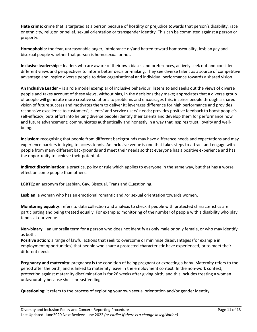**Hate crime:** crime that is targeted at a person because of hostility or prejudice towards that person's disability, race or ethnicity, religion or belief, sexual orientation or transgender identity. This can be committed against a person or property.

**Homophobia**: the fear, unreasonable anger, intolerance or/and hatred toward homosexuality, lesbian gay and bisexual people whether that person is homosexual or not.

**Inclusive leadership** – leaders who are aware of their own biases and preferences, actively seek out and consider different views and perspectives to inform better decision-making. They see diverse talent as a source of competitive advantage and inspire diverse people to drive organisational and individual performance towards a shared vision.

**An Inclusive Leader** – is a role model exemplar of inclusive behaviour; listens to and seeks out the views of diverse people and takes account of these views, without bias, in the decisions they make; appreciates that a diverse group of people will generate more creative solutions to problems and encourages this; inspires people through a shared vision of future success and motivates them to deliver it; leverages difference for high performance and provides responsive excellence to customers', clients' and service users' needs; provides positive feedback to boost people's self-efficacy; puts effort into helping diverse people identify their talents and develop them for performance now and future advancement; communicates authentically and honestly in a way that inspires trust, loyalty and wellbeing.

**Inclusion:** recognising that people from different backgrounds may have difference needs and expectations and may experience barriers in trying to access tennis. An inclusive venue is one that takes steps to attract and engage with people from many different backgrounds and meet their needs so that everyone has a positive experience and has the opportunity to achieve their potential.

**Indirect discrimination:** a practice, policy or rule which applies to everyone in the same way, but that has a worse effect on some people than others.

**LGBTQ:** an acronym for Lesbian, Gay, Bisexual, Trans and Questioning.

**Lesbian**: a woman who has an emotional romantic and /or sexual orientation towards women.

**Monitoring equality**: refers to data collection and analysis to check if people with protected characteristics are participating and being treated equally. For example: monitoring of the number of people with a disability who play tennis at our venue.

**Non-binary** – an umbrella term for a person who does not identify as only male or only female, or who may identify as both.

**Positive action:** a range of lawful actions that seek to overcome or minimise disadvantages (for example in employment opportunities) that people who share a protected characteristic have experienced, or to meet their different needs.

**Pregnancy and maternity**: pregnancy is the condition of being pregnant or expecting a baby. Maternity refers to the period after the birth, and is linked to maternity leave in the employment context. In the non-work context, protection against maternity discrimination is for 26 weeks after giving birth, and this includes treating a woman unfavourably because she is breastfeeding.

**Questioning**: it refers to the process of exploring your own sexual orientation and/or gender identity.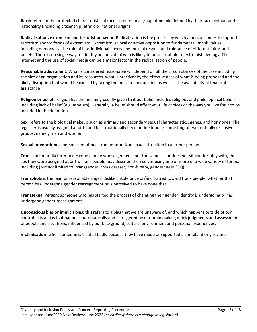**Race:** refers to the protected characteristic of race. It refers to a group of people defined by their race, colour, and nationality (including citizenship) ethnic or national origins.

**Radicalisation, extremism and terrorist behavior**: Radicalisation is the process by which a person comes to support terrorism and/or forms of extremism. Extremism is vocal or active opposition to fundamental British values, including democracy, the rule of law, individual liberty and mutual respect and tolerance of different faiths and beliefs. There is no single way to identify an individual who is likely to be susceptible to extremist ideology. The internet and the use of social media can be a major factor in the radicalisation of people.

**Reasonable adjustment**: What is considered reasonable will depend on all the circumstances of the case including the size of an organisation and its resources, what is practicable, the effectiveness of what is being proposed and the likely disruption that would be caused by taking the measure in question as well as the availability of financial assistance

**Religion or belief:** religion has the meaning usually given to it but belief includes religious and philosophical beliefs including lack of belief (e.g. atheism). Generally, a belief should affect your life choices or the way you live for it to be included in the definition.

**Sex:** refers to the biological makeup such as primary and secondary sexual characteristics, genes, and hormones. The legal sex is usually assigned at birth and has traditionally been understood as consisting of two mutually exclusive groups, namely men and women.

**Sexual orientation:** a person's emotional, romantic and/or sexual attraction to another person.

**Trans:** an umbrella term to describe people whose gender is not the same as, or does not sit comfortably with, the sex they were assigned at birth. Trans people may describe themselves using one or more of a wide variety of terms, including (but not limited to) transgender, cross dresser, non-binary, genderqueer (GQ).

**Transphobia**: the fear, unreasonable anger, dislike, intolerance or/and hatred toward trans people, whether that person has undergone gender reassignment or is perceived to have done that.

**Transsexual Person:** someone who has started the process of changing their gender identity is undergoing or has undergone gender reassignment.

**Unconscious bias or implicit bias:** this refers to a bias that we are unaware of, and which happens outside of our control. It is a bias that happens automatically and is triggered by our brain making quick judgments and assessments of people and situations, influenced by our background, cultural environment and personal experiences.

**Victimisation:** when someone is treated badly because they have made or supported a complaint or grievance.